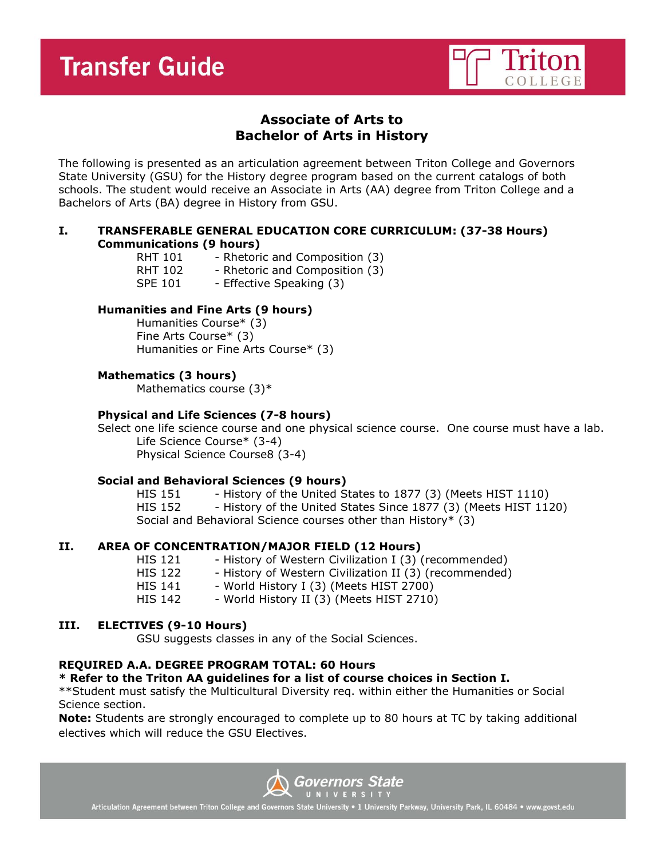

# **Associate of Arts to Bachelor of Arts in History**

The following is presented as an articulation agreement between Triton College and Governors State University (GSU) for the History degree program based on the current catalogs of both schools. The student would receive an Associate in Arts (AA) degree from Triton College and a Bachelors of Arts (BA) degree in History from GSU.

## **I. TRANSFERABLE GENERAL EDUCATION CORE CURRICULUM: (37-38 Hours) Communications (9 hours)**

RHT 101 - Rhetoric and Composition (3) RHT 102 - Rhetoric and Composition (3) SPE 101 - Effective Speaking (3)

## **Humanities and Fine Arts (9 hours)**

Humanities Course\* (3) Fine Arts Course\* (3) Humanities or Fine Arts Course\* (3)

## **Mathematics (3 hours)**

Mathematics course (3)\*

## **Physical and Life Sciences (7-8 hours)**

Select one life science course and one physical science course. One course must have a lab. Life Science Course\* (3-4) Physical Science Course8 (3-4)

## **Social and Behavioral Sciences (9 hours)**

HIS 151 - History of the United States to 1877 (3) (Meets HIST 1110) HIS 152 - History of the United States Since 1877 (3) (Meets HIST 1120) Social and Behavioral Science courses other than History\* (3)

## **II. AREA OF CONCENTRATION/MAJOR FIELD (12 Hours)**

- HIS 121 History of Western Civilization I (3) (recommended)
- HIS 122 History of Western Civilization II (3) (recommended)
- HIS 141 World History I (3) (Meets HIST 2700)
- HIS 142 World History II (3) (Meets HIST 2710)

## **III. ELECTIVES (9-10 Hours)**

GSU suggests classes in any of the Social Sciences.

## **REQUIRED A.A. DEGREE PROGRAM TOTAL: 60 Hours**

## **\* Refer to the Triton AA guidelines for a list of course choices in Section I.**

\*\*Student must satisfy the Multicultural Diversity req. within either the Humanities or Social Science section.

**Note:** Students are strongly encouraged to complete up to 80 hours at TC by taking additional electives which will reduce the GSU Electives.



Articulation Agreement between Triton College and Governors State University . 1 University Parkway, University Park, IL 60484 . www.govst.edu